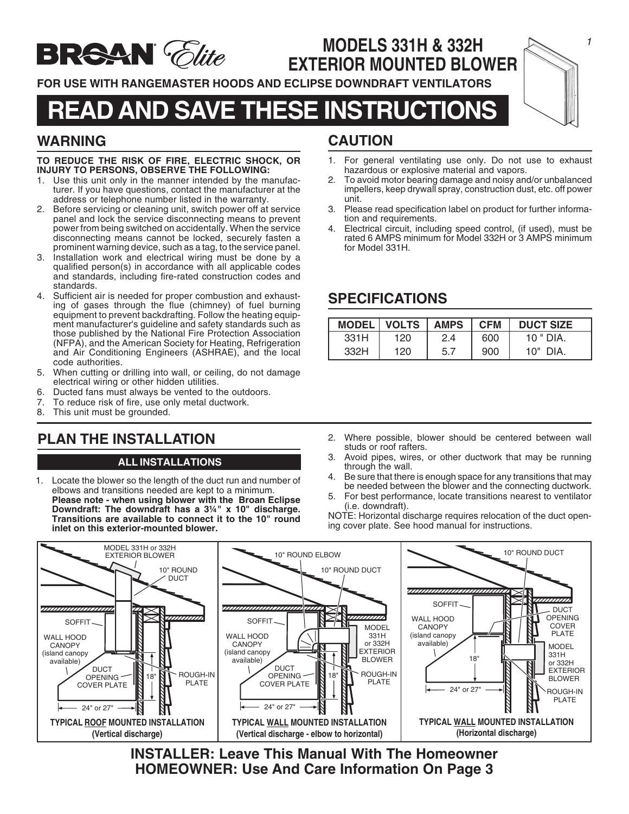

## **MODELS 331H & 332H EXTERIOR MOUNTED BLOWER**

**FOR USE WITH RANGEMASTER HOODS AND ECLIPSE DOWNDRAFT VENTILATORS**

## **READ AND SAVE THESE INSTRUCTIONS**

## **WARNING**

#### **TO REDUCE THE RISK OF FIRE, ELECTRIC SHOCK, OR INJURY TO PERSONS, OBSERVE THE FOLLOWING:**

- 1. Use this unit only in the manner intended by the manufacturer. If you have questions, contact the manufacturer at the address or telephone number listed in the warranty.
- 2. Before servicing or cleaning unit, switch power off at service panel and lock the service disconnecting means to prevent power from being switched on accidentally. When the service disconnecting means cannot be locked, securely fasten a prominent warning device, such as a tag, to the service panel.
- 3. Installation work and electrical wiring must be done by a qualified person(s) in accordance with all applicable codes and standards, including fire-rated construction codes and standards.
- 4. Sufficient air is needed for proper combustion and exhausting of gases through the flue (chimney) of fuel burning equipment to prevent backdrafting. Follow the heating equipment manufacturer's guideline and safety standards such as those published by the National Fire Protection Association (NFPA), and the American Society for Heating, Refrigeration and Air Conditioning Engineers (ASHRAE), and the local code authorities.
- 5. When cutting or drilling into wall, or ceiling, do not damage electrical wiring or other hidden utilities.
- 6. Ducted fans must always be vented to the outdoors.
- 7. To reduce risk of fire, use only metal ductwork.
- 8. This unit must be grounded.

## **PLAN THE INSTALLATION**

#### **ALL INSTALLATIONS**

1. Locate the blower so the length of the duct run and number of elbows and transitions needed are kept to a minimum. **Please note - when using blower with the Broan Eclipse Downdraft: The downdraft has a 3¼" x 10" discharge. Transitions are available to connect it to the 10" round inlet on this exterior-mounted blower.**

## **CAUTION**

- 1. For general ventilating use only. Do not use to exhaust hazardous or explosive material and vapors.
- 2. To avoid motor bearing damage and noisy and/or unbalanced impellers, keep drywall spray, construction dust, etc. off power unit.
- 3. Please read specification label on product for further information and requirements.
- 4. Electrical circuit, including speed control, (if used), must be rated 6 AMPS minimum for Model 332H or 3 AMPS minimum for Model 331H.

## **SPECIFICATIONS**

|      | MODEL   VOLTS   AMPS   CFM |     |     | <b>DUCT SIZE</b> |
|------|----------------------------|-----|-----|------------------|
| 331H | 120                        | 2.4 | 600 | $10$ " DIA.      |
| 332H | 120                        | 5.7 | 900 | $10"$ DIA.       |

- 2. Where possible, blower should be centered between wall studs or roof rafters.
- 3. Avoid pipes, wires, or other ductwork that may be running through the wall.
- 4. Be sure that there is enough space for any transitions that may be needed between the blower and the connecting ductwork.
- 5. For best performance, locate transitions nearest to ventilator (i.e. downdraft).

NOTE: Horizontal discharge requires relocation of the duct opening cover plate. See hood manual for instructions.



**INSTALLER: Leave This Manual With The Homeowner HOMEOWNER: Use And Care Information On Page 3**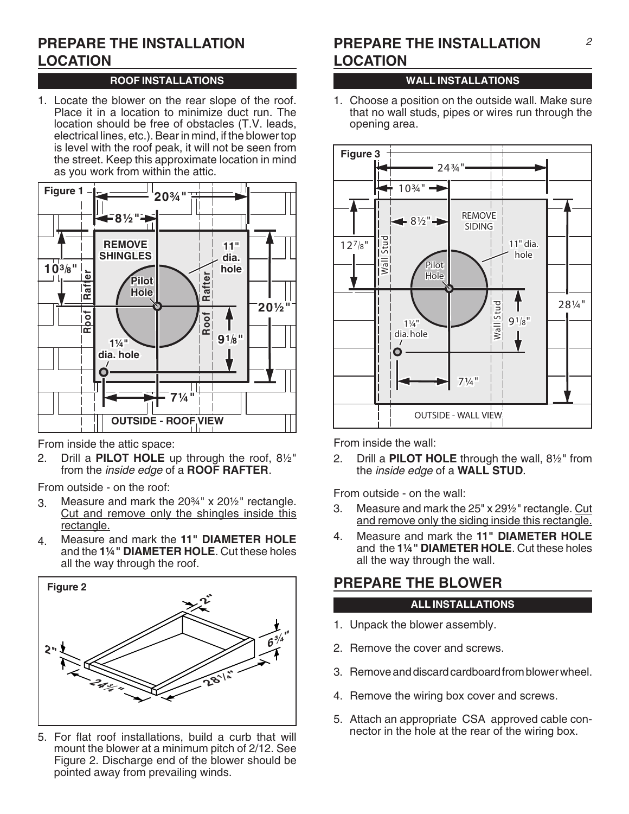## **PREPARE THE INSTALLATION LOCATION**

### **ROOF INSTALLATIONS**

1. Locate the blower on the rear slope of the roof. Place it in a location to minimize duct run. The location should be free of obstacles (T.V. leads, electrical lines, etc.). Bear in mind, if the blower top is level with the roof peak, it will not be seen from the street. Keep this approximate location in mind as you work from within the attic.



From inside the attic space:

2. Drill a **PILOT HOLE** up through the roof, 8½" from the inside edge of a **ROOF RAFTER**.

From outside - on the roof:

- 3. Measure and mark the 20¾" x 20½" rectangle. Cut and remove only the shingles inside this rectangle.
- 4. Measure and mark the **11" DIAMETER HOLE** and the **1¼" DIAMETER HOLE**. Cut these holes all the way through the roof.



5. For flat roof installations, build a curb that will mount the blower at a minimum pitch of 2/12. See Figure 2. Discharge end of the blower should be pointed away from prevailing winds.

## **PREPARE THE INSTALLATION LOCATION**

### **WALL INSTALLATIONS**

1. Choose a position on the outside wall. Make sure that no wall studs, pipes or wires run through the opening area.



From inside the wall:

2. Drill a **PILOT HOLE** through the wall, 8½" from the inside edge of a **WALL STUD**.

From outside - on the wall:

- 3. Measure and mark the 25" x 29½" rectangle. Cut and remove only the siding inside this rectangle.
- 4. Measure and mark the **11" DIAMETER HOLE** and the **1¼" DIAMETER HOLE**. Cut these holes all the way through the wall.

## **PREPARE THE BLOWER**

#### **ALL INSTALLATIONS**

- 1. Unpack the blower assembly.
- 2. Remove the cover and screws.
- 3. Remove and discard cardboard from blower wheel.
- 4. Remove the wiring box cover and screws.
- 5. Attach an appropriate CSA approved cable connector in the hole at the rear of the wiring box.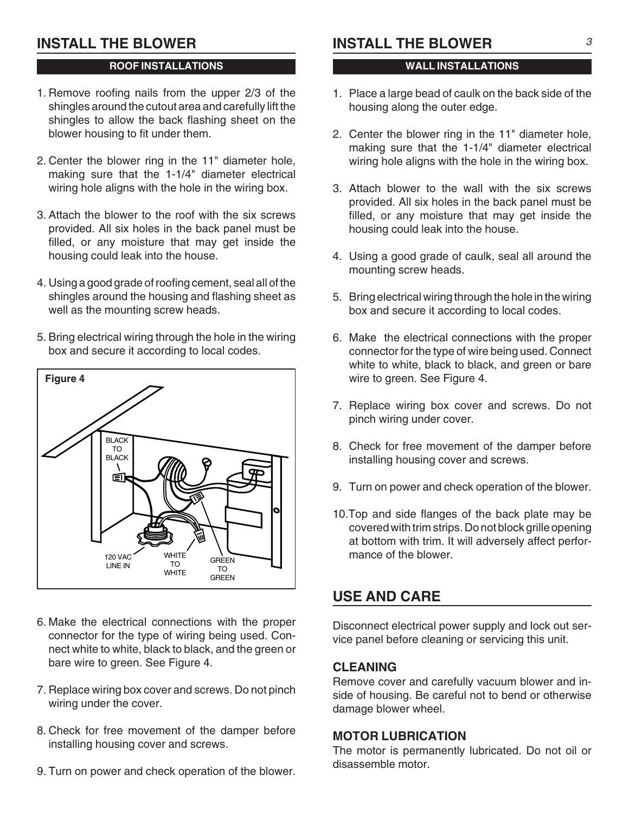## **INSTALL THE BLOWER**

#### **ROOF INSTALLATIONS**

- 1. Remove roofing nails from the upper 2/3 of the shingles around the cutout area and carefully lift the shingles to allow the back flashing sheet on the blower housing to fit under them.
- 2. Center the blower ring in the 11" diameter hole, making sure that the 1-1/4" diameter electrical wiring hole aligns with the hole in the wiring box.
- 3. Attach the blower to the roof with the six screws provided. All six holes in the back panel must be filled, or any moisture that may get inside the housing could leak into the house.
- 4. Using a good grade of roofing cement, seal all of the shingles around the housing and flashing sheet as well as the mounting screw heads.
- 5. Bring electrical wiring through the hole in the wiring box and secure it according to local codes.



- 6. Make the electrical connections with the proper connector for the type of wiring being used. Connect white to white, black to black, and the green or bare wire to green. See Figure 4.
- 7. Replace wiring box cover and screws. Do not pinch wiring under the cover.
- 8. Check for free movement of the damper before installing housing cover and screws.
- 9. Turn on power and check operation of the blower.

## **INSTALL THE BLOWER**

#### **WALL INSTALLATIONS**

- 1. Place a large bead of caulk on the back side of the housing along the outer edge.
- 2. Center the blower ring in the 11" diameter hole, making sure that the 1-1/4" diameter electrical wiring hole aligns with the hole in the wiring box.
- 3. Attach blower to the wall with the six screws provided. All six holes in the back panel must be filled, or any moisture that may get inside the housing could leak into the house.
- 4. Using a good grade of caulk, seal all around the mounting screw heads.
- 5. Bring electrical wiring through the hole in the wiring box and secure it according to local codes.
- 6. Make the electrical connections with the proper connector for the type of wire being used. Connect white to white, black to black, and green or bare wire to green. See Figure 4.
- 7. Replace wiring box cover and screws. Do not pinch wiring under cover.
- 8. Check for free movement of the damper before installing housing cover and screws.
- 9. Turn on power and check operation of the blower.
- 10.Top and side flanges of the back plate may be covered with trim strips. Do not block grille opening at bottom with trim. It will adversely affect performance of the blower.

## **USE AND CARE**

Disconnect electrical power supply and lock out service panel before cleaning or servicing this unit.

#### **CLEANING**

Remove cover and carefully vacuum blower and inside of housing. Be careful not to bend or otherwise damage blower wheel.

#### **MOTOR LUBRICATION**

The motor is permanently lubricated. Do not oil or disassemble motor.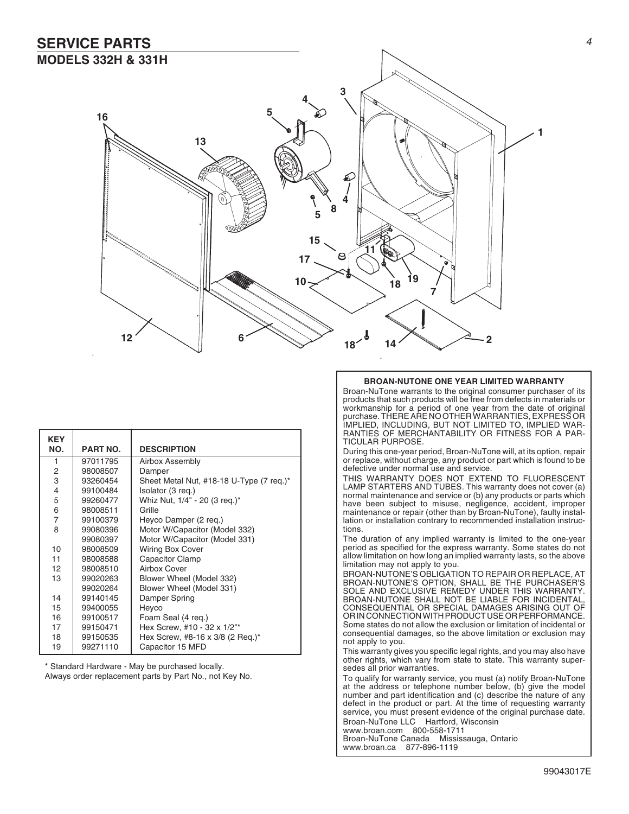### **SERVICE PARTS MODELS 332H & 331H**



| <b>KEY</b> |                 |                                          |  |  |
|------------|-----------------|------------------------------------------|--|--|
| NO.        | <b>PART NO.</b> | <b>DESCRIPTION</b>                       |  |  |
| 1          | 97011795        | Airbox Assembly                          |  |  |
| 2          | 98008507        | Damper                                   |  |  |
| 3          | 93260454        | Sheet Metal Nut, #18-18 U-Type (7 req.)* |  |  |
| 4          | 99100484        | Isolator (3 reg.)                        |  |  |
| 5          | 99260477        | Whiz Nut, 1/4" - 20 (3 reg.)*            |  |  |
| 6          | 98008511        | Grille                                   |  |  |
| 7          | 99100379        | Heyco Damper (2 req.)                    |  |  |
| 8          | 99080396        | Motor W/Capacitor (Model 332)            |  |  |
|            | 99080397        | Motor W/Capacitor (Model 331)            |  |  |
| 10         | 98008509        | <b>Wiring Box Cover</b>                  |  |  |
| 11         | 98008588        | <b>Capacitor Clamp</b>                   |  |  |
| 12         | 98008510        | Airbox Cover                             |  |  |
| 13         | 99020263        | Blower Wheel (Model 332)                 |  |  |
|            | 99020264        | Blower Wheel (Model 331)                 |  |  |
| 14         | 99140145        | Damper Spring                            |  |  |
| 15         | 99400055        | Heyco                                    |  |  |
| 16         | 99100517        | Foam Seal (4 req.)                       |  |  |
| 17         | 99150471        | Hex Screw, #10 - 32 x 1/2"*              |  |  |
| 18         | 99150535        | Hex Screw, #8-16 x 3/8 (2 Req.)*         |  |  |
| 19         | 99271110        | Capacitor 15 MFD                         |  |  |

\* Standard Hardware - May be purchased locally.

Always order replacement parts by Part No., not Key No.

#### **BROAN-NUTONE ONE YEAR LIMITED WARRANTY**

Broan-NuTone warrants to the original consumer purchaser of its products that such products will be free from defects in materials or workmanship for a period of one year from the date of original purchase. THERE ARE NO OTHER WARRANTIES, EXPRESS OR IMPLIED, INCLUDING, BUT NOT LIMITED TO, IMPLIED WAR-RANTIES OF MERCHANTABILITY OR FITNESS FOR A PAR-TICULAR PURPOSE.

During this one-year period, Broan-NuTone will, at its option, repair or replace, without charge, any product or part which is found to be defective under normal use and service.

THIS WARRANTY DOES NOT EXTEND TO FLUORESCENT LAMP STARTERS AND TUBES. This warranty does not cover (a) normal maintenance and service or (b) any products or parts which have been subject to misuse, negligence, accident, improper maintenance or repair (other than by Broan-NuTone), faulty installation or installation contrary to recommended installation instructions.

The duration of any implied warranty is limited to the one-year period as specified for the express warranty. Some states do not allow limitation on how long an implied warranty lasts, so the above limitation may not apply to you.

BROAN-NUTONE'S OBLIGATION TO REPAIR OR REPLACE, AT BROAN-NUTONE'S OPTION, SHALL BE THE PURCHASER'S SOLE AND EXCLUSIVE REMEDY UNDER THIS WARRANTY. BROAN-NUTONE SHALL NOT BE LIABLE FOR INCIDENTAL, CONSEQUENTIAL OR SPECIAL DAMAGES ARISING OUT OF OR IN CONNECTION WITH PRODUCT USE OR PERFORMANCE. Some states do not allow the exclusion or limitation of incidental or consequential damages, so the above limitation or exclusion may not apply to you.

This warranty gives you specific legal rights, and you may also have other rights, which vary from state to state. This warranty supersedes all prior warranties.

To qualify for warranty service, you must (a) notify Broan-NuTone at the address or telephone number below, (b) give the model number and part identification and (c) describe the nature of any defect in the product or part. At the time of requesting warranty service, you must present evidence of the original purchase date. Broan-NuTone LLC Hartford, Wisconsin www.broan.com 800-558-1711

Broan-NuTone Canada Mississauga, Ontario www.broan.ca 877-896-1119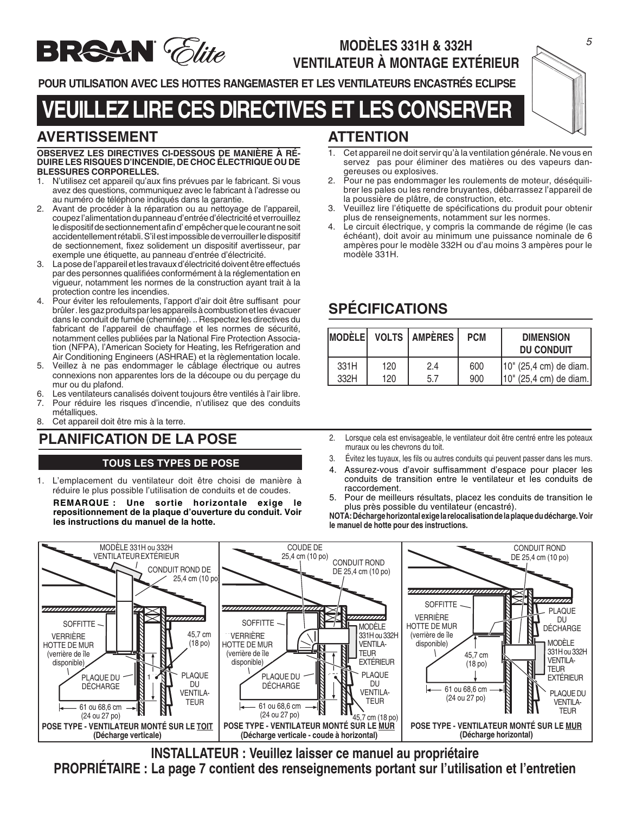

## **MODÈLES 331H & 332H VENTILATEUR À MONTAGE EXTÉRIEUR**

**POUR UTILISATION AVEC LES HOTTES RANGEMASTER ET LES VENTILATEURS ENCASTRÉS ECLIPSE**

## **VEUILLEZ LIRE CES DIRECTIVES ET LES CONSERVER**

## **AVERTISSEMENT**

#### **OBSERVEZ LES DIRECTIVES CI-DESSOUS DE MANIÈRE À RÉ-DUIRE LES RISQUES D'INCENDIE, DE CHOC ÉLECTRIQUE OU DE BLESSURES CORPORELLES.**

- 1. N'utilisez cet appareil qu'aux fins prévues par le fabricant. Si vous avez des questions, communiquez avec le fabricant à l'adresse ou au numéro de téléphone indiqués dans la garantie.
- 2. Avant de procéder à la réparation ou au nettoyage de l'appareil, coupez l'alimentation du panneau d'entrée d'électricité et verrouillez le dispositif de sectionnement afin d' empêcher que le courant ne soit accidentellement rétabli. S'il est impossible de verrouiller le dispositif de sectionnement, fixez solidement un dispositif avertisseur, par exemple une étiquette, au panneau d'entrée d'électricité.
- 3. La pose de l'appareil et les travaux d'électricité doivent être effectués par des personnes qualifiées conformément à la réglementation en vigueur, notamment les normes de la construction ayant trait à la protection contre les incendies.
- 4. Pour éviter les refoulements, l'apport d'air doit être suffisant pour brûler . les gaz produits par les appareils à combustion et les évacuer dans le conduit de fumée (cheminée). .. Respectez les directives du fabricant de l'appareil de chauffage et les normes de sécurité, notamment celles publiées par la National Fire Protection Association (NFPA), l'American Society for Heating, les Refrigeration and Air Conditioning Engineers (ASHRAE) et la règlementation locale.
- 5. Veillez à ne pas endommager le câblage électrique ou autres connexions non apparentes lors de la découpe ou du perçage du mur ou du plafond.
- 6. Les ventilateurs canalisés doivent toujours être ventilés à l'air libre.
- 7. Pour réduire les risques d'incendie, n'utilisez que des conduits métalliques.
- 8. Cet appareil doit être mis à la terre.

#### **TOUS LES TYPES DE POSE**

1. L'emplacement du ventilateur doit être choisi de manière à réduire le plus possible l'utilisation de conduits et de coudes.

**REMARQUE : Une sortie horizontale exige le repositionnement de la plaque d'ouverture du conduit. Voir les instructions du manuel de la hotte.**

## **ATTENTION**

- 1. Cet appareil ne doit servir qu'à la ventilation générale. Ne vous en servez pas pour éliminer des matières ou des vapeurs dangereuses ou explosives.
- 2. Pour ne pas endommager les roulements de moteur, déséquilibrer les pales ou les rendre bruyantes, débarrassez l'appareil de la poussière de plâtre, de construction, etc.
- 3. Veuillez lire l'étiquette de spécifications du produit pour obtenir plus de renseignements, notamment sur les normes.
- 4. Le circuit électrique, y compris la commande de régime (le cas échéant), doit avoir au minimum une puissance nominale de 6 ampères pour le modèle 332H ou d'au moins 3 ampères pour le modèle 331H.

## **SPÉCIFICATIONS**

| <b>MODÈLE</b> |     | <b>VOLTS AMPÈRES</b> | <b>PCM</b> | <b>DIMENSION</b><br><b>DU CONDUIT</b> |
|---------------|-----|----------------------|------------|---------------------------------------|
| 331H          | 120 | 2.4                  | 600        | [10" (25,4 cm) de diam.               |
| 332H          | 120 | 5.7                  | 900        | 10" (25,4 cm) de diam.                |

- **ANIFICATION DE LA POSE** 2. Lorsque cela est envisageable, le ventilateur doit être centré entre les poteaux muraux ou les chevrons du toit.
	- 3. Évitez les tuyaux, les fils ou autres conduits qui peuvent passer dans les murs.
	- 4. Assurez-vous d'avoir suffisamment d'espace pour placer les conduits de transition entre le ventilateur et les conduits de raccordement.
	- 5. Pour de meilleurs résultats, placez les conduits de transition le plus près possible du ventilateur (encastré).

**NOTA: Décharge horizontal exige la relocalisation de la plaque du décharge. Voir le manuel de hotte pour des instructions.**



**INSTALLATEUR : Veuillez laisser ce manuel au propriétaire PROPRIÉTAIRE : La page 7 contient des renseignements portant sur l'utilisation et l'entretien**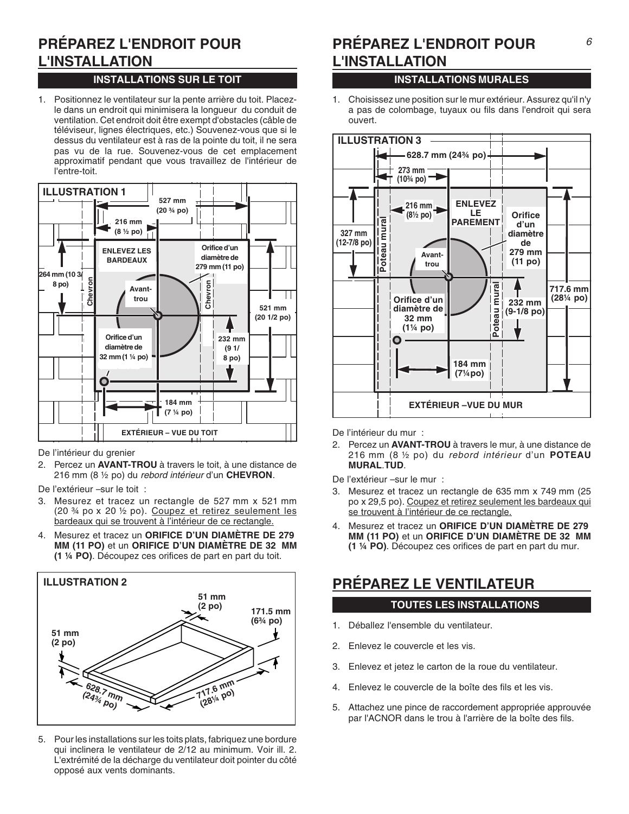## **PRÉPAREZ L'ENDROIT POUR L'INSTALLATION**

### **INSTALLATIONS SUR LE TOIT INSTALLATIONS MURALES**

1. Positionnez le ventilateur sur la pente arrière du toit. Placezle dans un endroit qui minimisera la longueur du conduit de ventilation. Cet endroit doit être exempt d'obstacles (câble de téléviseur, lignes électriques, etc.) Souvenez-vous que si le dessus du ventilateur est à ras de la pointe du toit, il ne sera pas vu de la rue. Souvenez-vous de cet emplacement approximatif pendant que vous travaillez de l'intérieur de l'entre-toit.



De l'intérieur du grenier

- 2. Percez un **AVANT-TROU** à travers le toit, à une distance de 216 mm (8 ½ po) du rebord intérieur d'un **CHEVRON**.
- De l'extérieur –sur le toit :
- 3. Mesurez et tracez un rectangle de 527 mm x 521 mm (20 ¾ po x 20 ½ po). Coupez et retirez seulement les bardeaux qui se trouvent à l'intérieur de ce rectangle.
- 4. Mesurez et tracez un **ORIFICE D'UN DIAMÈTRE DE 279 MM (11 PO)** et un **ORIFICE D'UN DIAMÈTRE DE 32 MM (1 ¼ PO)**. Découpez ces orifices de part en part du toit.



5. Pour les installations sur les toits plats, fabriquez une bordure qui inclinera le ventilateur de 2/12 au minimum. Voir ill. 2. L'extrémité de la décharge du ventilateur doit pointer du côté opposé aux vents dominants.

## **PRÉPAREZ L'ENDROIT POUR L'INSTALLATION**

1. Choisissez une position sur le mur extérieur. Assurez qu'il n'y a pas de colombage, tuyaux ou fils dans l'endroit qui sera ouvert.



De l'intérieur du mur :

2. Percez un **AVANT-TROU** à travers le mur, à une distance de 216 mm (8 ½ po) du rebord intérieur d'un **POTEAU MURAL**.**TUD**.

De l'extérieur –sur le mur :

- 3. Mesurez et tracez un rectangle de 635 mm x 749 mm (25 po x 29,5 po). Coupez et retirez seulement les bardeaux qui se trouvent à l'intérieur de ce rectangle.
- 4. Mesurez et tracez un **ORIFICE D'UN DIAMÈTRE DE 279 MM (11 PO)** et un **ORIFICE D'UN DIAMÈTRE DE 32 MM (1 ¼ PO)**. Découpez ces orifices de part en part du mur.

## **PRÉPAREZ LE VENTILATEUR**

#### **TOUTES LES INSTALLATIONS**

- 1. Déballez l'ensemble du ventilateur.
- 2. Enlevez le couvercle et les vis.
- 3. Enlevez et jetez le carton de la roue du ventilateur.
- 4. Enlevez le couvercle de la boîte des fils et les vis.
- 5. Attachez une pince de raccordement appropriée approuvée par l'ACNOR dans le trou à l'arrière de la boîte des fils.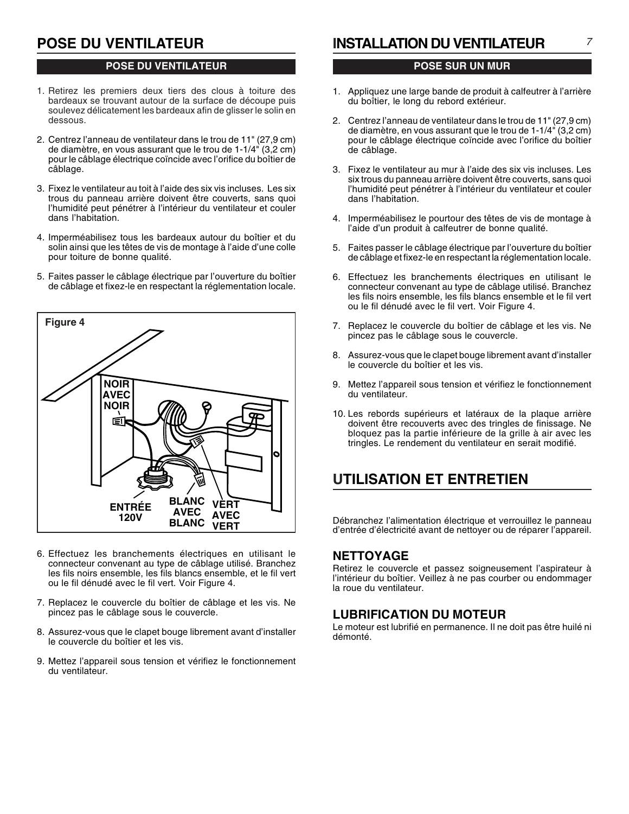## **POSE DU VENTILATEUR**

#### **POSE DU VENTILATEUR**

- 1. Retirez les premiers deux tiers des clous à toiture des bardeaux se trouvant autour de la surface de découpe puis soulevez délicatement les bardeaux afin de glisser le solin en dessous.
- 2. Centrez l'anneau de ventilateur dans le trou de 11" (27,9 cm) de diamètre, en vous assurant que le trou de 1-1/4" (3,2 cm) pour le câblage électrique coïncide avec l'orifice du boîtier de câblage.
- 3. Fixez le ventilateur au toit à l'aide des six vis incluses. Les six trous du panneau arrière doivent être couverts, sans quoi l'humidité peut pénétrer à l'intérieur du ventilateur et couler dans l'habitation.
- 4. Imperméabilisez tous les bardeaux autour du boîtier et du solin ainsi que les têtes de vis de montage à l'aide d'une colle pour toiture de bonne qualité.
- 5. Faites passer le câblage électrique par l'ouverture du boîtier de câblage et fixez-le en respectant la réglementation locale.



- 6. Effectuez les branchements électriques en utilisant le connecteur convenant au type de câblage utilisé. Branchez les fils noirs ensemble, les fils blancs ensemble, et le fil vert ou le fil dénudé avec le fil vert. Voir Figure 4.
- 7. Replacez le couvercle du boîtier de câblage et les vis. Ne pincez pas le câblage sous le couvercle.
- 8. Assurez-vous que le clapet bouge librement avant d'installer le couvercle du boîtier et les vis.
- 9. Mettez l'appareil sous tension et vérifiez le fonctionnement du ventilateur.

## **INSTALLATION DU VENTILATEUR**

#### **POSE SUR UN MUR**

- 1. Appliquez une large bande de produit à calfeutrer à l'arrière du boîtier, le long du rebord extérieur.
- 2. Centrez l'anneau de ventilateur dans le trou de 11" (27,9 cm) de diamètre, en vous assurant que le trou de 1-1/4" (3,2 cm) pour le câblage électrique coïncide avec l'orifice du boîtier de câblage.
- 3. Fixez le ventilateur au mur à l'aide des six vis incluses. Les six trous du panneau arrière doivent être couverts, sans quoi l'humidité peut pénétrer à l'intérieur du ventilateur et couler dans l'habitation.
- 4. Imperméabilisez le pourtour des têtes de vis de montage à l'aide d'un produit à calfeutrer de bonne qualité.
- 5. Faites passer le câblage électrique par l'ouverture du boîtier de câblage et fixez-le en respectant la réglementation locale.
- 6. Effectuez les branchements électriques en utilisant le connecteur convenant au type de câblage utilisé. Branchez les fils noirs ensemble, les fils blancs ensemble et le fil vert ou le fil dénudé avec le fil vert. Voir Figure 4.
- 7. Replacez le couvercle du boîtier de câblage et les vis. Ne pincez pas le câblage sous le couvercle.
- 8. Assurez-vous que le clapet bouge librement avant d'installer le couvercle du boîtier et les vis.
- 9. Mettez l'appareil sous tension et vérifiez le fonctionnement du ventilateur.
- 10. Les rebords supérieurs et latéraux de la plaque arrière doivent être recouverts avec des tringles de finissage. Ne bloquez pas la partie inférieure de la grille à air avec les tringles. Le rendement du ventilateur en serait modifié.

## **UTILISATION ET ENTRETIEN**

Débranchez l'alimentation électrique et verrouillez le panneau d'entrée d'électricité avant de nettoyer ou de réparer l'appareil.

#### **NETTOYAGE**

Retirez le couvercle et passez soigneusement l'aspirateur à l'intérieur du boîtier. Veillez à ne pas courber ou endommager la roue du ventilateur.

#### **LUBRIFICATION DU MOTEUR**

Le moteur est lubrifié en permanence. Il ne doit pas être huilé ni démonté.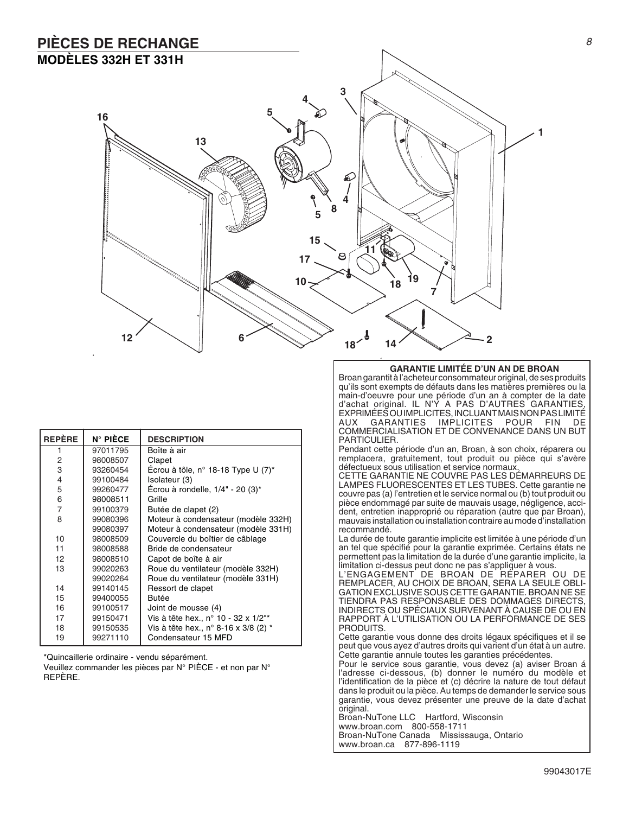## **PIÈCES DE RECHANGE MODÈLES 332H ET 331H**



| <b>REPÈRE</b>  | $N^{\circ}$ PIÈCE | <b>DESCRIPTION</b>                     |  |
|----------------|-------------------|----------------------------------------|--|
| 1              | 97011795          | Boîte à air                            |  |
| 2              | 98008507          | Clapet                                 |  |
| 3              | 93260454          | Ecrou à tôle, n° 18-18 Type U $(7)^*$  |  |
| $\overline{4}$ | 99100484          | Isolateur (3)                          |  |
| 5              | 99260477          | Écrou à rondelle, $1/4$ " - 20 $(3)^*$ |  |
| 6              | 98008511          | Grille                                 |  |
| $\overline{7}$ | 99100379          | Butée de clapet (2)                    |  |
| 8              | 99080396          | Moteur à condensateur (modèle 332H)    |  |
|                | 99080397          | Moteur à condensateur (modèle 331H)    |  |
| 10             | 98008509          | Couvercle du boîtier de câblage        |  |
| 11             | 98008588          | Bride de condensateur                  |  |
| 12             | 98008510          | Capot de boîte à air                   |  |
| 13             | 99020263          | Roue du ventilateur (modèle 332H)      |  |
|                | 99020264          | Roue du ventilateur (modèle 331H)      |  |
| 14             | 99140145          | Ressort de clapet                      |  |
| 15             | 99400055          | <b>Butée</b>                           |  |
| 16             | 99100517          | Joint de mousse (4)                    |  |
| 17             | 99150471          | Vis à tête hex., n° 10 - 32 x 1/2"*    |  |
| 18             | 99150535          | Vis à tête hex., n° 8-16 x 3/8 (2) *   |  |
| 19             | 99271110          | Condensateur 15 MFD                    |  |

\*Quincaillerie ordinaire - vendu séparément.

Veuillez commander les pièces par N° PIÈCE - et non par N° REPÈRE.

#### **GARANTIE LIMITÉE D'UN AN DE BROAN**

Broan garantit à l'acheteur consommateur original, de ses produits qu'ils sont exempts de défauts dans les matières premières ou la main-d'oeuvre pour une période d'un an à compter de la date d'achat original. IL N'Y A PAS D'AUTRES GARANTIES, EXPRIMÉES OU IMPLICITES, INCLUANT MAIS NON PAS LIMITÉ AUX GARANTIES IMPLICITES POUR FIN DE COMMERCIALISATION ET DE CONVENANCE DANS UN BUT PARTICULIER.

Pendant cette période d'un an, Broan, à son choix, réparera ou remplacera, gratuitement, tout produit ou pièce qui s'avère défectueux sous utilisation et service normaux.

CETTE GARANTIE NE COUVRE PAS LES DÉMARREURS DE LAMPES FLUORESCENTES ET LES TUBES. Cette garantie ne couvre pas (a) l'entretien et le service normal ou (b) tout produit ou pièce endommagé par suite de mauvais usage, négligence, accident, entretien inapproprié ou réparation (autre que par Broan), mauvais installation ou installation contraire au mode d'installation recommandé.

La durée de toute garantie implicite est limitée à une période d'un an tel que spécifié pour la garantie exprimée. Certains états ne permettent pas la limitation de la durée d'une garantie implicite, la limitation ci-dessus peut donc ne pas s'appliquer à vous.

L'ENGAGEMENT DE BROAN DE RÉPARER OU DE REMPLACER, AU CHOIX DE BROAN, SERA LA SEULE OBLI-GATION EXCLUSIVE SOUS CETTE GARANTIE. BROAN NE SE TIENDRA PAS RESPONSABLE DES DOMMAGES DIRECTS, INDIRECTS OU SPÉCIAUX SURVENANT À CAUSE DE OU EN RAPPORT À L'UTILISATION OU LA PERFORMANCE DE SES PRODUITS.

Cette garantie vous donne des droits légaux spécifiques et il se peut que vous ayez d'autres droits qui varient d'un état à un autre. Cette garantie annule toutes les garanties précédentes.

Pour le service sous garantie, vous devez (a) aviser Broan á l'adresse ci-dessous, (b) donner le numéro du modèle et l'identification de la pièce et (c) décrire la nature de tout défaut dans le produit ou la pièce. Au temps de demander le service sous garantie, vous devez présenter une preuve de la date d'achat original.

Broan-NuTone LLC Hartford, Wisconsin www.broan.com 800-558-1711 Broan-NuTone Canada Mississauga, Ontario www.broan.ca 877-896-1119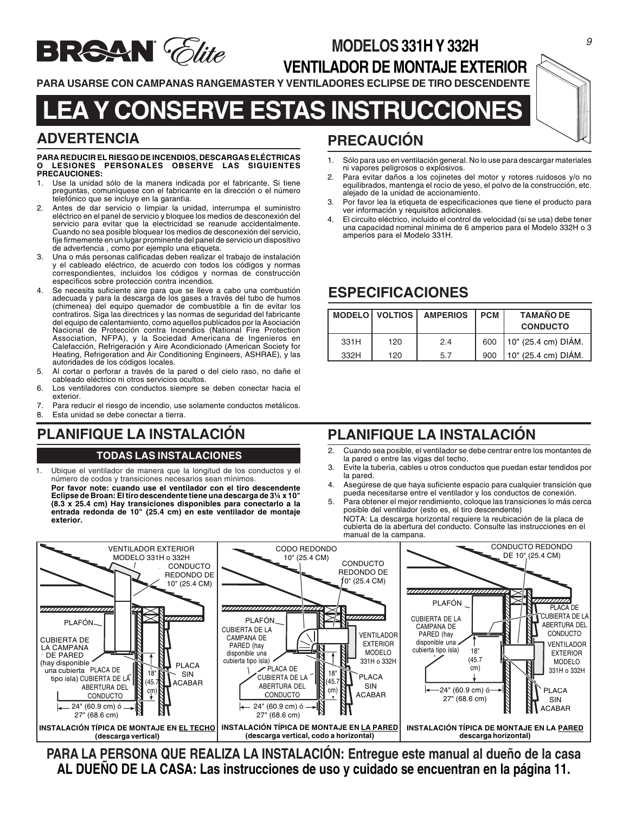

## **MODELOS 331H Y 332H VENTILADOR DE MONTAJE EXTERIOR**

**PARA USARSE CON CAMPANAS RANGEMASTER Y VENTILADORES ECLIPSE DE TIRO DESCENDENTE**

# **LEA Y CONSERVE ESTAS INSTRUCCIONES**

## **ADVERTENCIA**

#### **PARA REDUCIR EL RIESGO DE INCENDIOS, DESCARGAS ELÉCTRICAS O LESIONES PERSONALES OBSERVE LAS SIGUIENTES PRECAUCIONES:**

- 1. Use la unidad sólo de la manera indicada por el fabricante. Si tiene preguntas, comuníquese con el fabricante en la dirección o el número telefónico que se incluye en la garantía.
- 2. Antes de dar servicio o limpiar la unidad, interrumpa el suministro eléctrico en el panel de servicio y bloquee los medios de desconexión del servicio para evitar que la electricidad se reanude accidentalmente. Cuando no sea posible bloquear los medios de desconexión del servicio, fije firmemente en un lugar prominente del panel de servicio un dispositivo de advertencia , como por ejemplo una etiqueta.
- 3. Una o más personas calificadas deben realizar el trabajo de instalación y el cableado eléctrico, de acuerdo con todos los códigos y normas correspondientes, incluidos los códigos y normas de construcción específicos sobre protección contra incendios.
- Se necesita suficiente aire para que se lleve a cabo una combustión adecuada y para la descarga de los gases a través del tubo de humos (chimenea) del equipo quemador de combustible a fin de evitar los contratiros. Siga las directrices y las normas de seguridad del fabricante del equipo de calentamiento, como aquellos publicados por la Asociación Nacional de Protección contra Incendios (National Fire Protection Association, NFPA), y la Sociedad Americana de Ingenieros en Calefacción, Refrigeración y Aire Acondicionado (American Society for Heating, Refrigeration and Air Conditioning Engineers, ASHRAE), y las autoridades de los códigos locales.
- 5. Al cortar o perforar a través de la pared o del cielo raso, no dañe el cableado eléctrico ni otros servicios ocultos.
- 6. Los ventiladores con conductos siempre se deben conectar hacia el exterior.
- 7. Para reducir el riesgo de incendio, use solamente conductos metálicos.
- 8. Esta unidad se debe conectar a tierra.

## **PLANIFIQUE LA INSTALACIÓN**

#### **TODAS LAS INSTALACIONES**

1. Ubique el ventilador de manera que la longitud de los conductos y el número de codos y transiciones necesarios sean mínimos.

**Por favor note: cuando use el ventilador con el tiro descendente Eclipse de Broan: El tiro descendente tiene una descarga de 3¼ x 10" (8.3 x 25.4 cm) Hay transiciones disponibles para conectarlo a la entrada redonda de 10" (25.4 cm) en este ventilador de montaje exterior.**

## **PRECAUCIÓN**

- 1. Sólo para uso en ventilación general. No lo use para descargar materiales ni vapores peligrosos o explosivos.
- Para evitar daños a los cojinetes del motor y rotores ruidosos y/o no equilibrados, mantenga el rocío de yeso, el polvo de la construcción, etc. alejado de la unidad de accionamiento.
- 3. Por favor lea la etiqueta de especificaciones que tiene el producto para ver información y requisitos adicionales.
- 4. El circuito eléctrico, incluido el control de velocidad (si se usa) debe tener una capacidad nominal mínima de 6 amperios para el Modelo 332H o 3 amperios para el Modelo 331H.

## **ESPECIFICACIONES**

|      |     | MODELO VOLTIOS   AMPERIOS | I PCM | <b>TAMAÑO DE</b><br><b>CONDUCTO</b> |
|------|-----|---------------------------|-------|-------------------------------------|
| 331H | 120 | 2.4                       | 600   | 10" (25.4 cm) DIÁM.                 |
| 332H | 120 | 5.7                       | 900   | 10" (25.4 cm) DIÁM.                 |

## **PLANIFIQUE LA INSTALACIÓN**

- 2. Cuando sea posible, el ventilador se debe centrar entre los montantes de la pared o entre las vigas del techo.
- 3. Evite la tubería, cables u otros conductos que puedan estar tendidos por la pared.
- 4. Asegúrese de que haya suficiente espacio para cualquier transición que pueda necesitarse entre el ventilador y los conductos de conexión.
- 5. Para obtener el mejor rendimiento, coloque las transiciones lo más cerca posible del ventilador (esto es, el tiro descendente) NOTA: La descarga horizontal requiere la reubicación de la placa de
	- cubierta de la abertura del conducto. Consulte las instrucciones en el manual de la campana.



**PARA LA PERSONA QUE REALIZA LA INSTALACIÓN: Entregue este manual al dueño de la casa AL DUEÑO DE LA CASA: Las instrucciones de uso y cuidado se encuentran en la página 11.**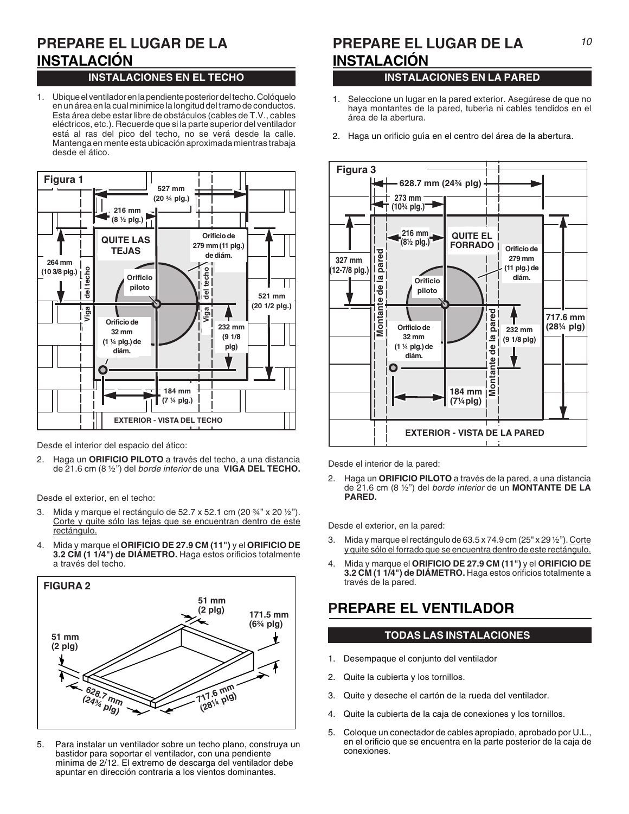# **INSTALACIÓN**

#### **INSTALACIONES EN EL TECHO**

1. Ubique el ventilador en la pendiente posterior del techo. Colóquelo en un área en la cual minimice la longitud del tramo de conductos. Esta área debe estar libre de obstáculos (cables de T.V., cables eléctricos, etc.). Recuerde que si la parte superior del ventilador está al ras del pico del techo, no se verá desde la calle. Mantenga en mente esta ubicación aproximada mientras trabaja desde el ático.



Desde el interior del espacio del ático:

2. Haga un **ORIFICIO PILOTO** a través del techo, a una distancia de 21.6 cm (8 ½") del borde interior de una **VIGA DEL TECHO.**

Desde el exterior, en el techo:

- 3. Mida y marque el rectángulo de 52.7 x 52.1 cm (20 ¾" x 20 ½"). Corte y quite sólo las tejas que se encuentran dentro de este rectángulo.
- 4. Mida y marque el **ORIFICIO DE 27.9 CM (11")** y el **ORIFICIO DE 3.2 CM (1 1/4") de DIÁMETRO.** Haga estos orificios totalmente a través del techo.



5. Para instalar un ventilador sobre un techo plano, construya un bastidor para soportar el ventilador, con una pendiente mínima de 2/12. El extremo de descarga del ventilador debe apuntar en dirección contraria a los vientos dominantes.

#### **PREPARE EL LUGAR DE LA PREPARE EL LUGAR DE LA 10 PREPARE EL LUGAR DE LA INSTALACIÓN**

#### **INSTALACIONES EN LA PARED**

- 1. Seleccione un lugar en la pared exterior. Asegúrese de que no haya montantes de la pared, tubería ni cables tendidos en el área de la abertura.
- 2. Haga un orificio guía en el centro del área de la abertura.



Desde el interior de la pared:

2. Haga un **ORIFICIO PILOTO** a través de la pared, a una distancia de 21.6 cm (8 ½") del borde interior de un **MONTANTE DE LA PARED.**

Desde el exterior, en la pared:

- 3. Mida y marque el rectángulo de 63.5 x 74.9 cm (25" x 29 ½"). Corte y quite sólo el forrado que se encuentra dentro de este rectángulo.
- 4. Mida y marque el **ORIFICIO DE 27.9 CM (11")** y el **ORIFICIO DE 3.2 CM (1 1/4") de DIÁMETRO.** Haga estos orificios totalmente a través de la pared.

## **PREPARE EL VENTILADOR**

#### **TODAS LAS INSTALACIONES**

- 1. Desempaque el conjunto del ventilador
- 2. Quite la cubierta y los tornillos.
- 3. Quite y deseche el cartón de la rueda del ventilador.
- 4. Quite la cubierta de la caja de conexiones y los tornillos.
- 5. Coloque un conectador de cables apropiado, aprobado por U.L., en el orificio que se encuentra en la parte posterior de la caja de conexiones.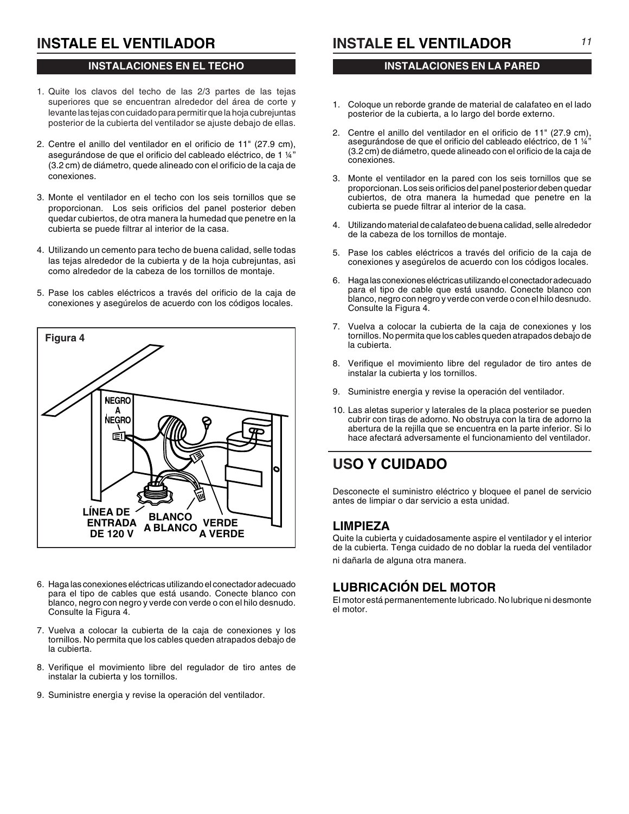## **INSTALE EL VENTILADOR**

#### **INSTALACIONES EN EL TECHO**

- 1. Quite los clavos del techo de las 2/3 partes de las tejas superiores que se encuentran alrededor del área de corte y levante las tejas con cuidado para permitir que la hoja cubrejuntas posterior de la cubierta del ventilador se ajuste debajo de ellas.
- 2. Centre el anillo del ventilador en el orificio de 11" (27.9 cm), asegurándose de que el orificio del cableado eléctrico, de 1 ¼" (3.2 cm) de diámetro, quede alineado con el orificio de la caja de conexiones.
- 3. Monte el ventilador en el techo con los seis tornillos que se proporcionan. Los seis orificios del panel posterior deben quedar cubiertos, de otra manera la humedad que penetre en la cubierta se puede filtrar al interior de la casa.
- 4. Utilizando un cemento para techo de buena calidad, selle todas las tejas alrededor de la cubierta y de la hoja cubrejuntas, así como alrededor de la cabeza de los tornillos de montaje.
- 5. Pase los cables eléctricos a través del orificio de la caja de conexiones y asegúrelos de acuerdo con los códigos locales.



- 6. Haga las conexiones eléctricas utilizando el conectador adecuado para el tipo de cables que está usando. Conecte blanco con blanco, negro con negro y verde con verde o con el hilo desnudo. Consulte la Figura 4.
- 7. Vuelva a colocar la cubierta de la caja de conexiones y los tornillos. No permita que los cables queden atrapados debajo de la cubierta.
- 8. Verifique el movimiento libre del regulador de tiro antes de instalar la cubierta y los tornillos.
- 9. Suministre energía y revise la operación del ventilador.

**INSTALE EL VENTILADOR**

#### **INSTALACIONES EN LA PARED**

- 1. Coloque un reborde grande de material de calafateo en el lado posterior de la cubierta, a lo largo del borde externo.
- 2. Centre el anillo del ventilador en el orificio de 11" (27.9 cm), asegurándose de que el orificio del cableado eléctrico, de 1 ¼" (3.2 cm) de diámetro, quede alineado con el orificio de la caja de conexiones.
- 3. Monte el ventilador en la pared con los seis tornillos que se proporcionan. Los seis orificios del panel posterior deben quedar cubiertos, de otra manera la humedad que penetre en la cubierta se puede filtrar al interior de la casa.
- 4. Utilizando material de calafateo de buena calidad, selle alrededor de la cabeza de los tornillos de montaje.
- 5. Pase los cables eléctricos a través del orificio de la caja de conexiones y asegúrelos de acuerdo con los códigos locales.
- 6. Haga las conexiones eléctricas utilizando el conectador adecuado para el tipo de cable que está usando. Conecte blanco con blanco, negro con negro y verde con verde o con el hilo desnudo. Consulte la Figura 4.
- 7. Vuelva a colocar la cubierta de la caja de conexiones y los tornillos. No permita que los cables queden atrapados debajo de la cubierta.
- 8. Verifique el movimiento libre del regulador de tiro antes de instalar la cubierta y los tornillos.
- 9. Suministre energía y revise la operación del ventilador.
- 10. Las aletas superior y laterales de la placa posterior se pueden cubrir con tiras de adorno. No obstruya con la tira de adorno la abertura de la rejilla que se encuentra en la parte inferior. Si lo hace afectará adversamente el funcionamiento del ventilador.

## **USO Y CUIDADO**

Desconecte el suministro eléctrico y bloquee el panel de servicio antes de limpiar o dar servicio a esta unidad.

#### **LIMPIEZA**

Quite la cubierta y cuidadosamente aspire el ventilador y el interior de la cubierta. Tenga cuidado de no doblar la rueda del ventilador ni dañarla de alguna otra manera.

#### **LUBRICACIÓN DEL MOTOR**

El motor está permanentemente lubricado. No lubrique ni desmonte el motor.